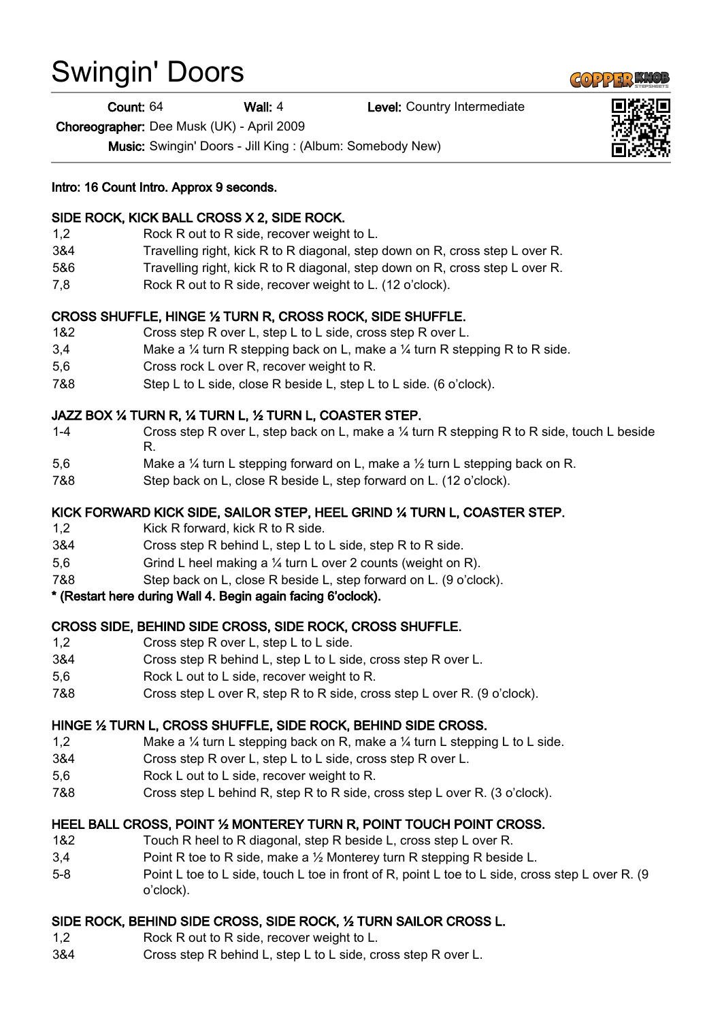# Swingin' Doors

Count: 64 Wall: 4 Level: Country Intermediate

Choreographer: Dee Musk (UK) - April 2009

Music: Swingin' Doors - Jill King : (Album: Somebody New)

Intro: 16 Count Intro. Approx 9 seconds.

## SIDE ROCK, KICK BALL CROSS X 2, SIDE ROCK.

- 1,2 Rock R out to R side, recover weight to L.
- 3&4 Travelling right, kick R to R diagonal, step down on R, cross step L over R.
- 5&6 Travelling right, kick R to R diagonal, step down on R, cross step L over R.
- 7,8 Rock R out to R side, recover weight to L. (12 o'clock).

## CROSS SHUFFLE, HINGE ½ TURN R, CROSS ROCK, SIDE SHUFFLE.

- 1&2 Cross step R over L, step L to L side, cross step R over L.
- 3,4 Make a ¼ turn R stepping back on L, make a ¼ turn R stepping R to R side.
- 5,6 Cross rock L over R, recover weight to R.
- 7&8 Step L to L side, close R beside L, step L to L side. (6 o'clock).

## JAZZ BOX ¼ TURN R, ¼ TURN L, ½ TURN L, COASTER STEP.

- 1-4 Cross step R over L, step back on L, make a ¼ turn R stepping R to R side, touch L beside R.
- 5,6 Make a ¼ turn L stepping forward on L, make a ½ turn L stepping back on R.
- 7&8 Step back on L, close R beside L, step forward on L. (12 o'clock).

## KICK FORWARD KICK SIDE, SAILOR STEP, HEEL GRIND ¼ TURN L, COASTER STEP.

- 1,2 Kick R forward, kick R to R side.
- 3&4 Cross step R behind L, step L to L side, step R to R side.
- 5,6 Grind L heel making a ¼ turn L over 2 counts (weight on R).
- 7&8 Step back on L, close R beside L, step forward on L. (9 o'clock).

### \* (Restart here during Wall 4. Begin again facing 6'oclock).

### CROSS SIDE, BEHIND SIDE CROSS, SIDE ROCK, CROSS SHUFFLE.

- 1,2 Cross step R over L, step L to L side.
- 3&4 Cross step R behind L, step L to L side, cross step R over L.
- 5,6 Rock L out to L side, recover weight to R.
- 7&8 Cross step L over R, step R to R side, cross step L over R. (9 o'clock).

### HINGE ½ TURN L, CROSS SHUFFLE, SIDE ROCK, BEHIND SIDE CROSS.

- 1,2 Make a ¼ turn L stepping back on R, make a ¼ turn L stepping L to L side.
- 3&4 Cross step R over L, step L to L side, cross step R over L.
- 5,6 Rock L out to L side, recover weight to R.
- 7&8 Cross step L behind R, step R to R side, cross step L over R. (3 o'clock).

### HEEL BALL CROSS, POINT ½ MONTEREY TURN R, POINT TOUCH POINT CROSS.

- 1&2 Touch R heel to R diagonal, step R beside L, cross step L over R.
- 3,4 Point R toe to R side, make a 1/2 Monterey turn R stepping R beside L.
- 5-8 Point L toe to L side, touch L toe in front of R, point L toe to L side, cross step L over R. (9 o'clock).

### SIDE ROCK, BEHIND SIDE CROSS, SIDE ROCK, ½ TURN SAILOR CROSS L.

- 1,2 Rock R out to R side, recover weight to L.
- 3&4 Cross step R behind L, step L to L side, cross step R over L.